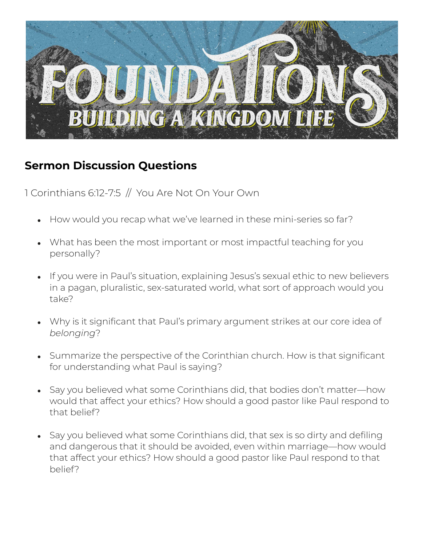

## **Sermon Discussion Questions**

1 Corinthians 6:12-7:5 // You Are Not On Your Own

- How would you recap what we've learned in these mini-series so far?
- What has been the most important or most impactful teaching for you personally?
- If you were in Paul's situation, explaining Jesus's sexual ethic to new believers in a pagan, pluralistic, sex-saturated world, what sort of approach would you take?
- Why is it significant that Paul's primary argument strikes at our core idea of *belonging*?
- Summarize the perspective of the Corinthian church. How is that significant for understanding what Paul is saying?
- Say you believed what some Corinthians did, that bodies don't matter—how would that affect your ethics? How should a good pastor like Paul respond to that belief?
- Say you believed what some Corinthians did, that sex is so dirty and defiling and dangerous that it should be avoided, even within marriage—how would that affect your ethics? How should a good pastor like Paul respond to that belief?